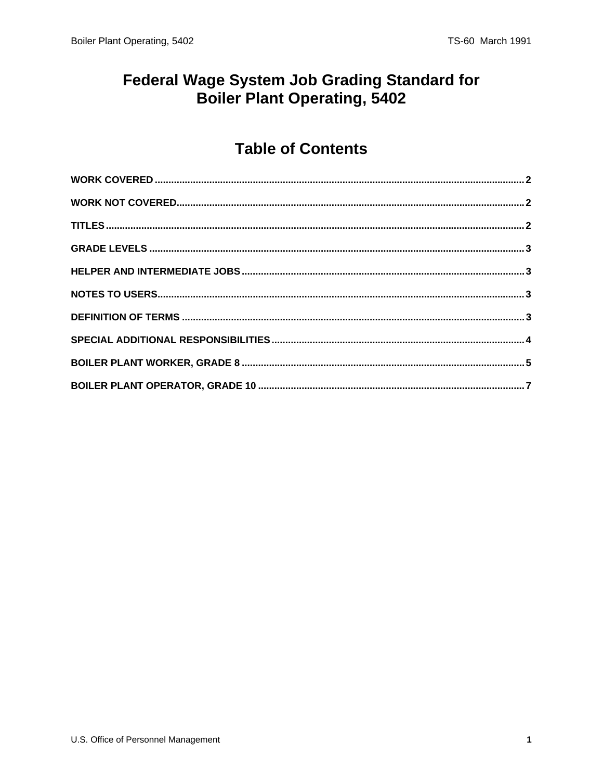#### **Federal Wage System Job Grading Standard for** Boiler Plant Operating, 5402

### **Table of Contents**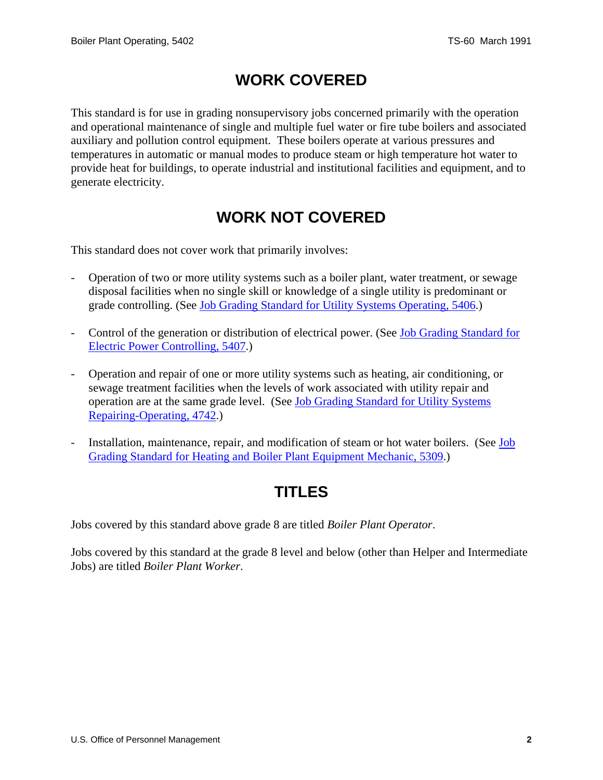### **WORK COVERED**

<span id="page-1-0"></span>This standard is for use in grading nonsupervisory jobs concerned primarily with the operation and operational maintenance of single and multiple fuel water or fire tube boilers and associated auxiliary and pollution control equipment. These boilers operate at various pressures and temperatures in automatic or manual modes to produce steam or high temperature hot water to provide heat for buildings, to operate industrial and institutional facilities and equipment, and to generate electricity.

### **WORK NOT COVERED**

This standard does not cover work that primarily involves:

- Operation of two or more utility systems such as a boiler plant, water treatment, or sewage disposal facilities when no single skill or knowledge of a single utility is predominant or grade controlling. (See [Job Grading Standard for Utility Systems Operating, 5406](http://www.opm.gov/fedclass/fws5406.pdf).)
- Control of the generation or distribution of electrical power. (See Job Grading Standard for [Electric Power Controlling, 5407.](http://www.opm.gov/fedclass/fws5407.pdf))
- Operation and repair of one or more utility systems such as heating, air conditioning, or sewage treatment facilities when the levels of work associated with utility repair and operation are at the same grade level. (See [Job Grading Standard for Utility Systems](http://www.opm.gov/fedclass/fws4742.pdf)  [Repairing-Operating, 4742.](http://www.opm.gov/fedclass/fws4742.pdf))
- Installation, maintenance, repair, and modification of steam or hot water boilers. (See Job [Grading Standard for Heating and Boiler Plant Equipment Mechanic, 5309](http://www.opm.gov/fedclass/fws5309.pdf).)

# **TITLES**

Jobs covered by this standard above grade 8 are titled *Boiler Plant Operator*.

Jobs covered by this standard at the grade 8 level and below (other than Helper and Intermediate Jobs) are titled *Boiler Plant Worker*.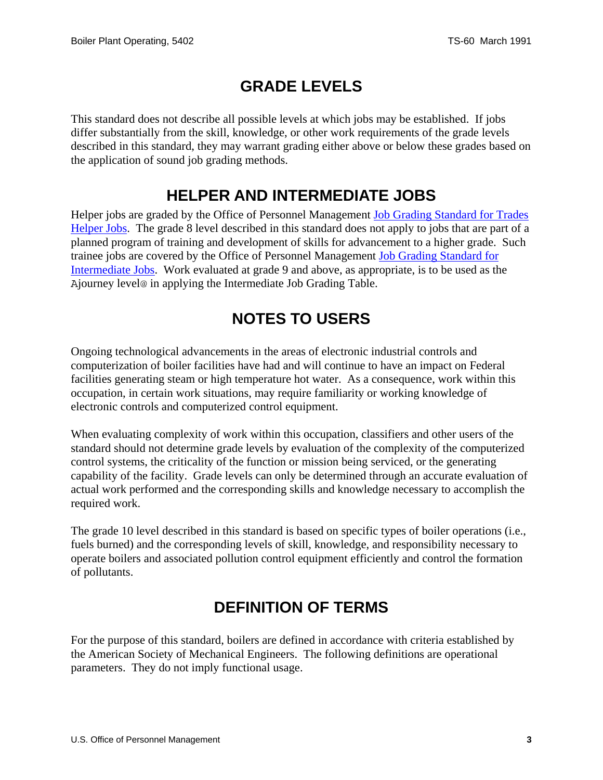# **GRADE LEVELS**

<span id="page-2-0"></span>This standard does not describe all possible levels at which jobs may be established. If jobs differ substantially from the skill, knowledge, or other work requirements of the grade levels described in this standard, they may warrant grading either above or below these grades based on the application of sound job grading methods.

#### **HELPER AND INTERMEDIATE JOBS**

Helper jobs are graded by the Office of Personnel Management [Job Grading Standard for Trades](http://www.opm.gov/fedclass/fwshelpr.pdf)  [Helper Jobs](http://www.opm.gov/fedclass/fwshelpr.pdf). The grade 8 level described in this standard does not apply to jobs that are part of a planned program of training and development of skills for advancement to a higher grade. Such trainee jobs are covered by the Office of Personnel Management [Job Grading Standard for](http://www.opm.gov/fedclass/fwsintm.pdf)  [Intermediate Jobs](http://www.opm.gov/fedclass/fwsintm.pdf). Work evaluated at grade 9 and above, as appropriate, is to be used as the Ajourney level@ in applying the Intermediate Job Grading Table.

### **NOTES TO USERS**

Ongoing technological advancements in the areas of electronic industrial controls and computerization of boiler facilities have had and will continue to have an impact on Federal facilities generating steam or high temperature hot water. As a consequence, work within this occupation, in certain work situations, may require familiarity or working knowledge of electronic controls and computerized control equipment.

When evaluating complexity of work within this occupation, classifiers and other users of the standard should not determine grade levels by evaluation of the complexity of the computerized control systems, the criticality of the function or mission being serviced, or the generating capability of the facility. Grade levels can only be determined through an accurate evaluation of actual work performed and the corresponding skills and knowledge necessary to accomplish the required work.

The grade 10 level described in this standard is based on specific types of boiler operations (i.e., fuels burned) and the corresponding levels of skill, knowledge, and responsibility necessary to operate boilers and associated pollution control equipment efficiently and control the formation of pollutants.

# **DEFINITION OF TERMS**

For the purpose of this standard, boilers are defined in accordance with criteria established by the American Society of Mechanical Engineers. The following definitions are operational parameters. They do not imply functional usage.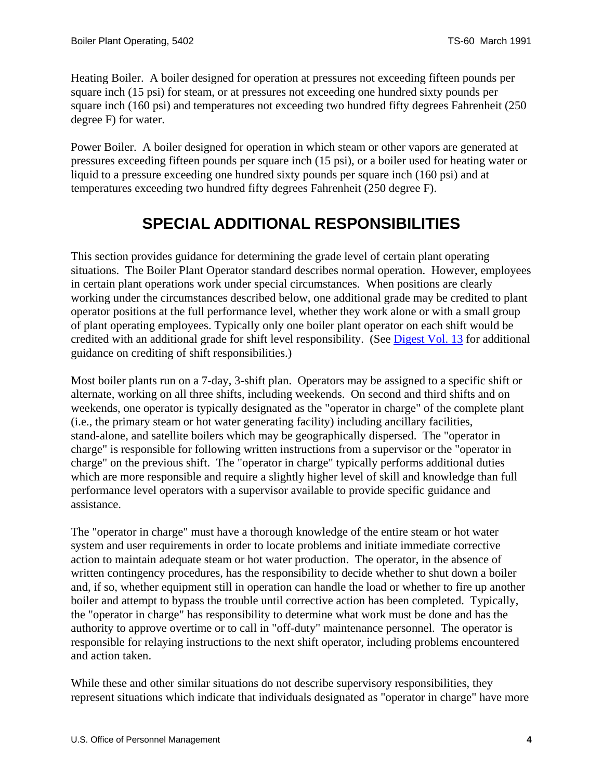<span id="page-3-0"></span>Heating Boiler. A boiler designed for operation at pressures not exceeding fifteen pounds per square inch (15 psi) for steam, or at pressures not exceeding one hundred sixty pounds per square inch (160 psi) and temperatures not exceeding two hundred fifty degrees Fahrenheit (250 degree F) for water.

Power Boiler. A boiler designed for operation in which steam or other vapors are generated at pressures exceeding fifteen pounds per square inch (15 psi), or a boiler used for heating water or liquid to a pressure exceeding one hundred sixty pounds per square inch (160 psi) and at temperatures exceeding two hundred fifty degrees Fahrenheit (250 degree F).

# **SPECIAL ADDITIONAL RESPONSIBILITIES**

This section provides guidance for determining the grade level of certain plant operating situations. The Boiler Plant Operator standard describes normal operation. However, employees in certain plant operations work under special circumstances. When positions are clearly working under the circumstances described below, one additional grade may be credited to plant operator positions at the full performance level, whether they work alone or with a small group of plant operating employees. Typically only one boiler plant operator on each shift would be credited with an additional grade for shift level responsibility. (See [Digest Vol. 13](http://www.opm.gov/classapp/digests/digest13.pdf) for additional guidance on crediting of shift responsibilities.)

Most boiler plants run on a 7-day, 3-shift plan. Operators may be assigned to a specific shift or alternate, working on all three shifts, including weekends. On second and third shifts and on weekends, one operator is typically designated as the "operator in charge" of the complete plant (i.e., the primary steam or hot water generating facility) including ancillary facilities, stand-alone, and satellite boilers which may be geographically dispersed. The "operator in charge" is responsible for following written instructions from a supervisor or the "operator in charge" on the previous shift. The "operator in charge" typically performs additional duties which are more responsible and require a slightly higher level of skill and knowledge than full performance level operators with a supervisor available to provide specific guidance and assistance.

The "operator in charge" must have a thorough knowledge of the entire steam or hot water system and user requirements in order to locate problems and initiate immediate corrective action to maintain adequate steam or hot water production. The operator, in the absence of written contingency procedures, has the responsibility to decide whether to shut down a boiler and, if so, whether equipment still in operation can handle the load or whether to fire up another boiler and attempt to bypass the trouble until corrective action has been completed. Typically, the "operator in charge" has responsibility to determine what work must be done and has the authority to approve overtime or to call in "off-duty" maintenance personnel. The operator is responsible for relaying instructions to the next shift operator, including problems encountered and action taken.

While these and other similar situations do not describe supervisory responsibilities, they represent situations which indicate that individuals designated as "operator in charge" have more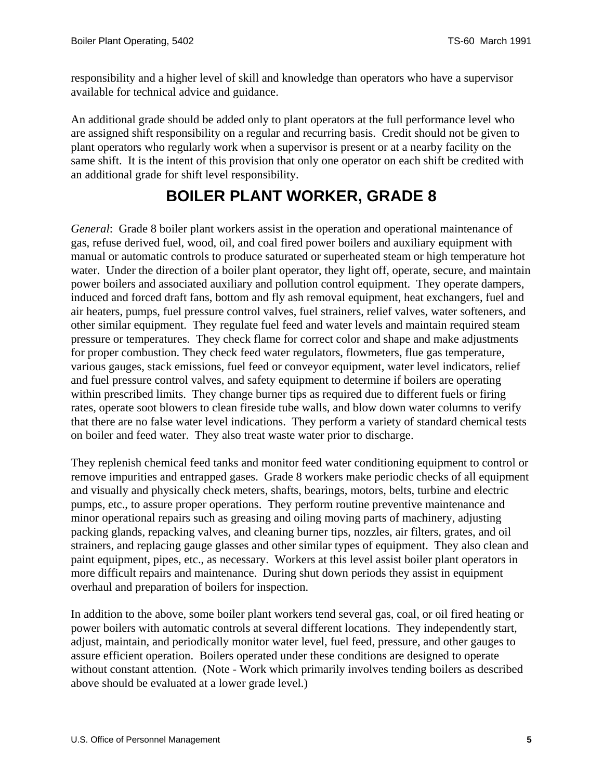<span id="page-4-0"></span>responsibility and a higher level of skill and knowledge than operators who have a supervisor available for technical advice and guidance.

An additional grade should be added only to plant operators at the full performance level who are assigned shift responsibility on a regular and recurring basis. Credit should not be given to plant operators who regularly work when a supervisor is present or at a nearby facility on the same shift. It is the intent of this provision that only one operator on each shift be credited with an additional grade for shift level responsibility.

# **BOILER PLANT WORKER, GRADE 8**

*General*: Grade 8 boiler plant workers assist in the operation and operational maintenance of gas, refuse derived fuel, wood, oil, and coal fired power boilers and auxiliary equipment with manual or automatic controls to produce saturated or superheated steam or high temperature hot water. Under the direction of a boiler plant operator, they light off, operate, secure, and maintain power boilers and associated auxiliary and pollution control equipment. They operate dampers, induced and forced draft fans, bottom and fly ash removal equipment, heat exchangers, fuel and air heaters, pumps, fuel pressure control valves, fuel strainers, relief valves, water softeners, and other similar equipment. They regulate fuel feed and water levels and maintain required steam pressure or temperatures. They check flame for correct color and shape and make adjustments for proper combustion. They check feed water regulators, flowmeters, flue gas temperature, various gauges, stack emissions, fuel feed or conveyor equipment, water level indicators, relief and fuel pressure control valves, and safety equipment to determine if boilers are operating within prescribed limits. They change burner tips as required due to different fuels or firing rates, operate soot blowers to clean fireside tube walls, and blow down water columns to verify that there are no false water level indications. They perform a variety of standard chemical tests on boiler and feed water. They also treat waste water prior to discharge.

They replenish chemical feed tanks and monitor feed water conditioning equipment to control or remove impurities and entrapped gases. Grade 8 workers make periodic checks of all equipment and visually and physically check meters, shafts, bearings, motors, belts, turbine and electric pumps, etc., to assure proper operations. They perform routine preventive maintenance and minor operational repairs such as greasing and oiling moving parts of machinery, adjusting packing glands, repacking valves, and cleaning burner tips, nozzles, air filters, grates, and oil strainers, and replacing gauge glasses and other similar types of equipment. They also clean and paint equipment, pipes, etc., as necessary. Workers at this level assist boiler plant operators in more difficult repairs and maintenance. During shut down periods they assist in equipment overhaul and preparation of boilers for inspection.

In addition to the above, some boiler plant workers tend several gas, coal, or oil fired heating or power boilers with automatic controls at several different locations. They independently start, adjust, maintain, and periodically monitor water level, fuel feed, pressure, and other gauges to assure efficient operation. Boilers operated under these conditions are designed to operate without constant attention. (Note - Work which primarily involves tending boilers as described above should be evaluated at a lower grade level.)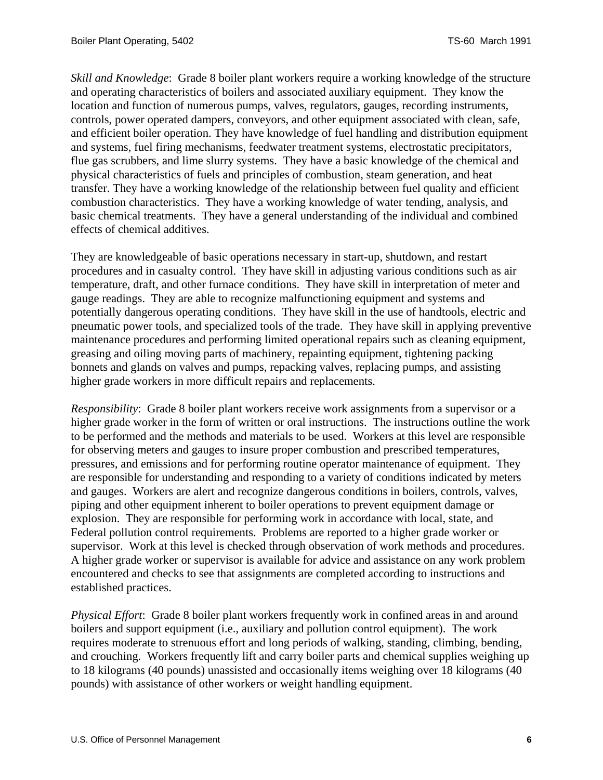*Skill and Knowledge*: Grade 8 boiler plant workers require a working knowledge of the structure and operating characteristics of boilers and associated auxiliary equipment. They know the location and function of numerous pumps, valves, regulators, gauges, recording instruments, controls, power operated dampers, conveyors, and other equipment associated with clean, safe, and efficient boiler operation. They have knowledge of fuel handling and distribution equipment and systems, fuel firing mechanisms, feedwater treatment systems, electrostatic precipitators, flue gas scrubbers, and lime slurry systems. They have a basic knowledge of the chemical and physical characteristics of fuels and principles of combustion, steam generation, and heat transfer. They have a working knowledge of the relationship between fuel quality and efficient combustion characteristics. They have a working knowledge of water tending, analysis, and basic chemical treatments. They have a general understanding of the individual and combined effects of chemical additives.

They are knowledgeable of basic operations necessary in start-up, shutdown, and restart procedures and in casualty control. They have skill in adjusting various conditions such as air temperature, draft, and other furnace conditions. They have skill in interpretation of meter and gauge readings. They are able to recognize malfunctioning equipment and systems and potentially dangerous operating conditions. They have skill in the use of handtools, electric and pneumatic power tools, and specialized tools of the trade. They have skill in applying preventive maintenance procedures and performing limited operational repairs such as cleaning equipment, greasing and oiling moving parts of machinery, repainting equipment, tightening packing bonnets and glands on valves and pumps, repacking valves, replacing pumps, and assisting higher grade workers in more difficult repairs and replacements.

*Responsibility*: Grade 8 boiler plant workers receive work assignments from a supervisor or a higher grade worker in the form of written or oral instructions. The instructions outline the work to be performed and the methods and materials to be used. Workers at this level are responsible for observing meters and gauges to insure proper combustion and prescribed temperatures, pressures, and emissions and for performing routine operator maintenance of equipment. They are responsible for understanding and responding to a variety of conditions indicated by meters and gauges. Workers are alert and recognize dangerous conditions in boilers, controls, valves, piping and other equipment inherent to boiler operations to prevent equipment damage or explosion. They are responsible for performing work in accordance with local, state, and Federal pollution control requirements. Problems are reported to a higher grade worker or supervisor. Work at this level is checked through observation of work methods and procedures. A higher grade worker or supervisor is available for advice and assistance on any work problem encountered and checks to see that assignments are completed according to instructions and established practices.

*Physical Effort*: Grade 8 boiler plant workers frequently work in confined areas in and around boilers and support equipment (i.e., auxiliary and pollution control equipment). The work requires moderate to strenuous effort and long periods of walking, standing, climbing, bending, and crouching. Workers frequently lift and carry boiler parts and chemical supplies weighing up to 18 kilograms (40 pounds) unassisted and occasionally items weighing over 18 kilograms (40 pounds) with assistance of other workers or weight handling equipment.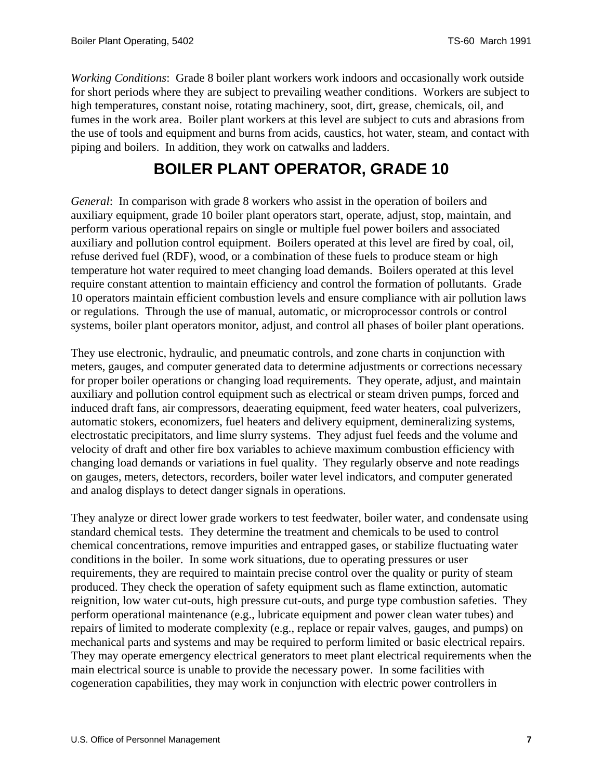<span id="page-6-0"></span>*Working Conditions*: Grade 8 boiler plant workers work indoors and occasionally work outside for short periods where they are subject to prevailing weather conditions. Workers are subject to high temperatures, constant noise, rotating machinery, soot, dirt, grease, chemicals, oil, and fumes in the work area. Boiler plant workers at this level are subject to cuts and abrasions from the use of tools and equipment and burns from acids, caustics, hot water, steam, and contact with piping and boilers. In addition, they work on catwalks and ladders.

### **BOILER PLANT OPERATOR, GRADE 10**

*General*: In comparison with grade 8 workers who assist in the operation of boilers and auxiliary equipment, grade 10 boiler plant operators start, operate, adjust, stop, maintain, and perform various operational repairs on single or multiple fuel power boilers and associated auxiliary and pollution control equipment. Boilers operated at this level are fired by coal, oil, refuse derived fuel (RDF), wood, or a combination of these fuels to produce steam or high temperature hot water required to meet changing load demands. Boilers operated at this level require constant attention to maintain efficiency and control the formation of pollutants. Grade 10 operators maintain efficient combustion levels and ensure compliance with air pollution laws or regulations. Through the use of manual, automatic, or microprocessor controls or control systems, boiler plant operators monitor, adjust, and control all phases of boiler plant operations.

They use electronic, hydraulic, and pneumatic controls, and zone charts in conjunction with meters, gauges, and computer generated data to determine adjustments or corrections necessary for proper boiler operations or changing load requirements. They operate, adjust, and maintain auxiliary and pollution control equipment such as electrical or steam driven pumps, forced and induced draft fans, air compressors, deaerating equipment, feed water heaters, coal pulverizers, automatic stokers, economizers, fuel heaters and delivery equipment, demineralizing systems, electrostatic precipitators, and lime slurry systems. They adjust fuel feeds and the volume and velocity of draft and other fire box variables to achieve maximum combustion efficiency with changing load demands or variations in fuel quality. They regularly observe and note readings on gauges, meters, detectors, recorders, boiler water level indicators, and computer generated and analog displays to detect danger signals in operations.

They analyze or direct lower grade workers to test feedwater, boiler water, and condensate using standard chemical tests. They determine the treatment and chemicals to be used to control chemical concentrations, remove impurities and entrapped gases, or stabilize fluctuating water conditions in the boiler. In some work situations, due to operating pressures or user requirements, they are required to maintain precise control over the quality or purity of steam produced. They check the operation of safety equipment such as flame extinction, automatic reignition, low water cut-outs, high pressure cut-outs, and purge type combustion safeties. They perform operational maintenance (e.g., lubricate equipment and power clean water tubes) and repairs of limited to moderate complexity (e.g., replace or repair valves, gauges, and pumps) on mechanical parts and systems and may be required to perform limited or basic electrical repairs. They may operate emergency electrical generators to meet plant electrical requirements when the main electrical source is unable to provide the necessary power. In some facilities with cogeneration capabilities, they may work in conjunction with electric power controllers in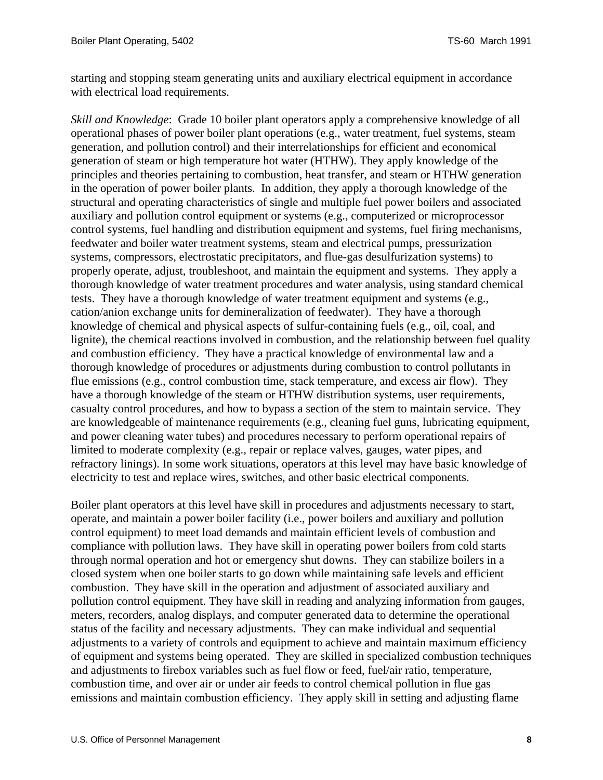starting and stopping steam generating units and auxiliary electrical equipment in accordance with electrical load requirements.

*Skill and Knowledge*: Grade 10 boiler plant operators apply a comprehensive knowledge of all operational phases of power boiler plant operations (e.g., water treatment, fuel systems, steam generation, and pollution control) and their interrelationships for efficient and economical generation of steam or high temperature hot water (HTHW). They apply knowledge of the principles and theories pertaining to combustion, heat transfer, and steam or HTHW generation in the operation of power boiler plants. In addition, they apply a thorough knowledge of the structural and operating characteristics of single and multiple fuel power boilers and associated auxiliary and pollution control equipment or systems (e.g., computerized or microprocessor control systems, fuel handling and distribution equipment and systems, fuel firing mechanisms, feedwater and boiler water treatment systems, steam and electrical pumps, pressurization systems, compressors, electrostatic precipitators, and flue-gas desulfurization systems) to properly operate, adjust, troubleshoot, and maintain the equipment and systems. They apply a thorough knowledge of water treatment procedures and water analysis, using standard chemical tests. They have a thorough knowledge of water treatment equipment and systems (e.g., cation/anion exchange units for demineralization of feedwater). They have a thorough knowledge of chemical and physical aspects of sulfur-containing fuels (e.g., oil, coal, and lignite), the chemical reactions involved in combustion, and the relationship between fuel quality and combustion efficiency. They have a practical knowledge of environmental law and a thorough knowledge of procedures or adjustments during combustion to control pollutants in flue emissions (e.g., control combustion time, stack temperature, and excess air flow). They have a thorough knowledge of the steam or HTHW distribution systems, user requirements, casualty control procedures, and how to bypass a section of the stem to maintain service. They are knowledgeable of maintenance requirements (e.g., cleaning fuel guns, lubricating equipment, and power cleaning water tubes) and procedures necessary to perform operational repairs of limited to moderate complexity (e.g., repair or replace valves, gauges, water pipes, and refractory linings). In some work situations, operators at this level may have basic knowledge of electricity to test and replace wires, switches, and other basic electrical components.

Boiler plant operators at this level have skill in procedures and adjustments necessary to start, operate, and maintain a power boiler facility (i.e., power boilers and auxiliary and pollution control equipment) to meet load demands and maintain efficient levels of combustion and compliance with pollution laws. They have skill in operating power boilers from cold starts through normal operation and hot or emergency shut downs. They can stabilize boilers in a closed system when one boiler starts to go down while maintaining safe levels and efficient combustion. They have skill in the operation and adjustment of associated auxiliary and pollution control equipment. They have skill in reading and analyzing information from gauges, meters, recorders, analog displays, and computer generated data to determine the operational status of the facility and necessary adjustments. They can make individual and sequential adjustments to a variety of controls and equipment to achieve and maintain maximum efficiency of equipment and systems being operated. They are skilled in specialized combustion techniques and adjustments to firebox variables such as fuel flow or feed, fuel/air ratio, temperature, combustion time, and over air or under air feeds to control chemical pollution in flue gas emissions and maintain combustion efficiency. They apply skill in setting and adjusting flame